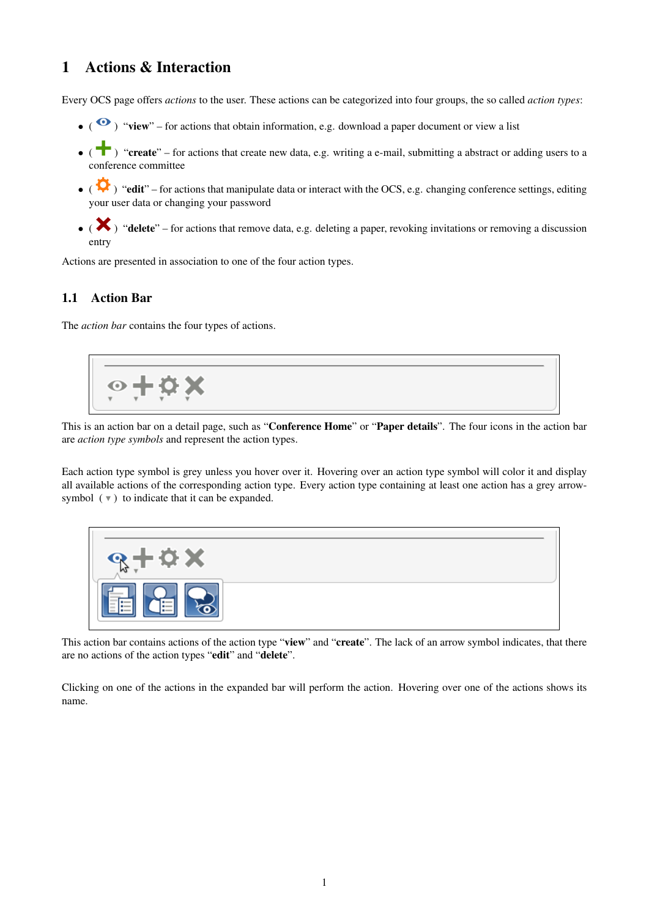# <span id="page-0-0"></span>1 Actions & Interaction

Every OCS page offers *actions* to the user. These actions can be categorized into four groups, the so called *action types*:

- ( $\bullet$ ) "view" for actions that obtain information, e.g. download a paper document or view a list
- ( $\bullet$ ) "create" for actions that create new data, e.g. writing a e-mail, submitting a abstract or adding users to a conference committee
- ( $\bullet$ ) "edit" for actions that manipulate data or interact with the OCS, e.g. changing conference settings, editing your user data or changing your password
- $\bullet$  ( $\bullet$ ) "delete" for actions that remove data, e.g. deleting a paper, revoking invitations or removing a discussion entry

Actions are presented in association to one of the four action types.

### 1.1 Action Bar

The *action bar* contains the four types of actions.



This is an action bar on a detail page, such as "Conference Home" or "Paper details". The four icons in the action bar are *action type symbols* and represent the action types.

Each action type symbol is grey unless you hover over it. Hovering over an action type symbol will color it and display all available actions of the corresponding action type. Every action type containing at least one action has a grey arrowsymbol  $(\triangledown)$  to indicate that it can be expanded.



This action bar contains actions of the action type "view" and "create". The lack of an arrow symbol indicates, that there are no actions of the action types "edit" and "delete".

Clicking on one of the actions in the expanded bar will perform the action. Hovering over one of the actions shows its name.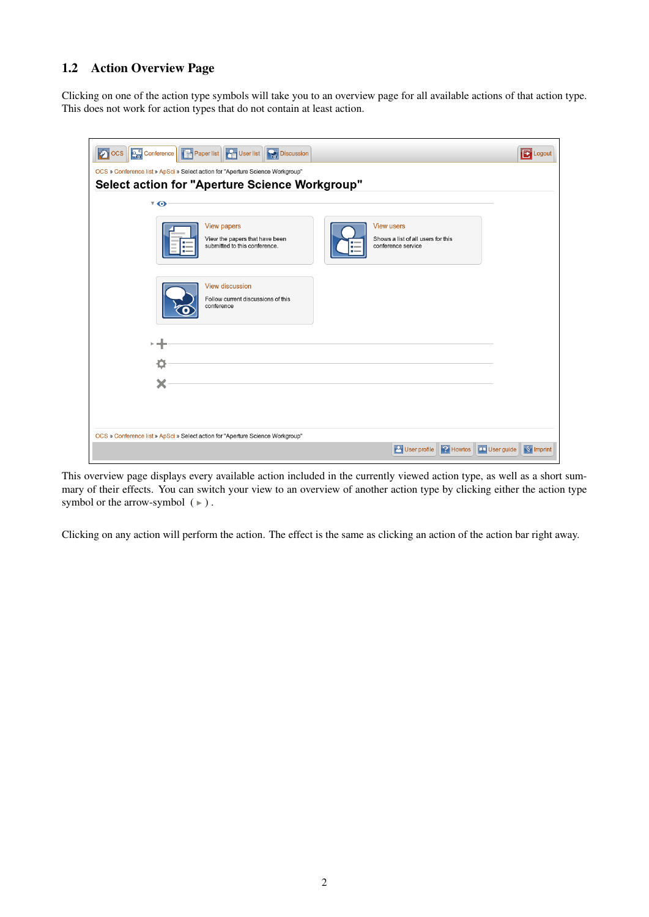## 1.2 Action Overview Page

Clicking on one of the action type symbols will take you to an overview page for all available actions of that action type. This does not work for action types that do not contain at least action.

| <b>2</b> OCS Conference <b>F</b> Paper list <b>C</b> User list Discussion                                                                                              | <b>E</b> Logout                   |  |  |  |  |  |
|------------------------------------------------------------------------------------------------------------------------------------------------------------------------|-----------------------------------|--|--|--|--|--|
| OCS » Conference list » ApSci » Select action for "Aperture Science Workgroup"                                                                                         |                                   |  |  |  |  |  |
| <b>Select action for "Aperture Science Workgroup"</b>                                                                                                                  |                                   |  |  |  |  |  |
| $\sqrt{ }$                                                                                                                                                             |                                   |  |  |  |  |  |
| <b>View papers</b><br><b>View users</b><br>View the papers that have been<br>Shows a list of all users for this<br>submitted to this conference.<br>conference service |                                   |  |  |  |  |  |
| View discussion<br>Follow current discussions of this<br>conference                                                                                                    |                                   |  |  |  |  |  |
|                                                                                                                                                                        |                                   |  |  |  |  |  |
|                                                                                                                                                                        |                                   |  |  |  |  |  |
|                                                                                                                                                                        |                                   |  |  |  |  |  |
|                                                                                                                                                                        |                                   |  |  |  |  |  |
|                                                                                                                                                                        |                                   |  |  |  |  |  |
| OCS » Conference list » ApSci » Select action for "Aperture Science Workgroup"                                                                                         |                                   |  |  |  |  |  |
| <b>P</b> Howtos<br><b>P</b> User profile                                                                                                                               | User guide<br>$\sqrt{\S}$ Imprint |  |  |  |  |  |

This overview page displays every available action included in the currently viewed action type, as well as a short summary of their effects. You can switch your view to an overview of another action type by clicking either the action type symbol or the arrow-symbol  $( )$ .

Clicking on any action will perform the action. The effect is the same as clicking an action of the action bar right away.